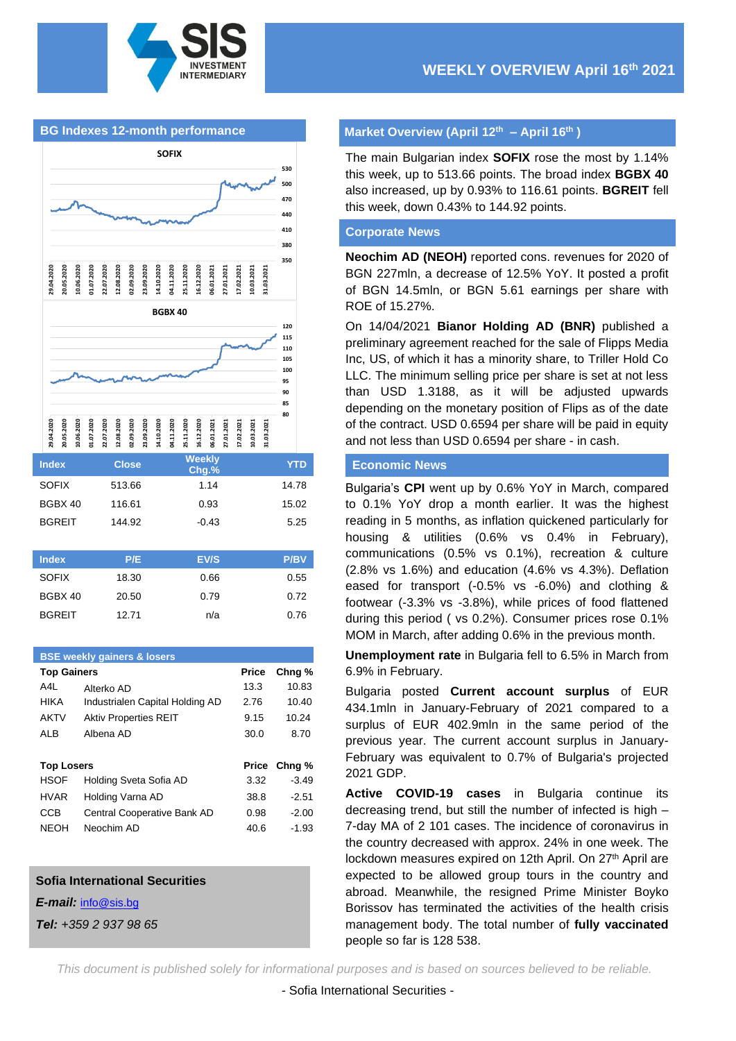

### **BG Indexes 12-month performance**



| <b>Index</b>  | <b>Close</b> | <b>Weekly</b><br>Chg.% | <b>YTD</b>  |
|---------------|--------------|------------------------|-------------|
| <b>SOFIX</b>  | 513.66       | 1.14                   | 14.78       |
| BGBX 40       | 116.61       | 0.93                   | 15.02       |
| <b>BGREIT</b> | 144.92       | $-0.43$                | 5.25        |
|               |              |                        |             |
| <b>Index</b>  | P/E          | EV/S                   | <b>P/BV</b> |
| <b>SOFIX</b>  | 18.30        | 0.66                   | 0.55        |
| BGBX 40       | 20.50        | 0.79                   | 0.72        |

BGREIT 12.71 n/a 0.76

# **BSE weekly gainers & losers Top Gainers Price Chng %** A4L Alterko AD 13.3 10.83 HIKA Industrialen Capital Holding AD 2.76 10.40 AKTV Aktiv Properties REIT 9.15 10.24 ALB Albena AD 30.0 8.70 **Top Losers Price Chng %** HSOF Holding Sveta Sofia AD 3.32 -3.49 HVAR Holding Varna AD 38.8 -2.51 CCB Central Cooperative Bank AD 0.98 -2.00 NEOH Neochim AD 40.6 -1.93

#### **Sofia International Securities**

*E-mail:* [info@sis.bg](mailto:info@sis.bg)

*Tel: +359 2 937 98 65*

### **Market Overview (April 12 th – April 16th )**

The main Bulgarian index **SOFIX** rose the most by 1.14% this week, up to 513.66 points. The broad index **BGBX 40** also increased, up by 0.93% to 116.61 points. **BGREIT** fell this week, down 0.43% to 144.92 points.

#### **Corporate News**

**Neochim AD (NEOH)** reported cons. revenues for 2020 of BGN 227mln, a decrease of 12.5% YoY. It posted a profit of BGN 14.5mln, or BGN 5.61 earnings per share with ROE of 15.27%.

On 14/04/2021 **Bianor Holding AD (BNR)** published a preliminary agreement reached for the sale of Flipps Media Inc, US, of which it has a minority share, to Triller Hold Co LLC. The minimum selling price per share is set at not less than USD 1.3188, as it will be adjusted upwards depending on the monetary position of Flips as of the date of the contract. USD 0.6594 per share will be paid in equity and not less than USD 0.6594 per share - in cash.

### **Economic News**

Bulgaria's **CPI** went up by 0.6% YoY in March, compared to 0.1% YoY drop a month earlier. It was the highest reading in 5 months, as inflation quickened particularly for housing & utilities (0.6% vs 0.4% in February), communications (0.5% vs 0.1%), recreation & culture (2.8% vs 1.6%) and education (4.6% vs 4.3%). Deflation eased for transport (-0.5% vs -6.0%) and clothing & footwear (-3.3% vs -3.8%), while prices of food flattened during this period ( vs 0.2%). Consumer prices rose 0.1% MOM in March, after adding 0.6% in the previous month.

**Unemployment rate** in Bulgaria fell to 6.5% in March from 6.9% in February.

Bulgaria posted **Current account surplus** of EUR 434.1mln in January-February of 2021 compared to a surplus of EUR 402.9mln in the same period of the previous year. The current account surplus in January-February was equivalent to 0.7% of Bulgaria's projected 2021 GDP.

**Active COVID-19 cases** in Bulgaria continue its decreasing trend, but still the number of infected is high – 7-day MA of 2 101 cases. The incidence of coronavirus in the country decreased with approx. 24% in one week. The lockdown measures expired on 12th April. On 27<sup>th</sup> April are expected to be allowed group tours in the country and abroad. Meanwhile, the resigned Prime Minister Boyko Borissov has terminated the activities of the health crisis management body. The total number of **fully vaccinated** people so far is 128 538.

*This document is published solely for informational purposes and is based on sources believed to be reliable.*